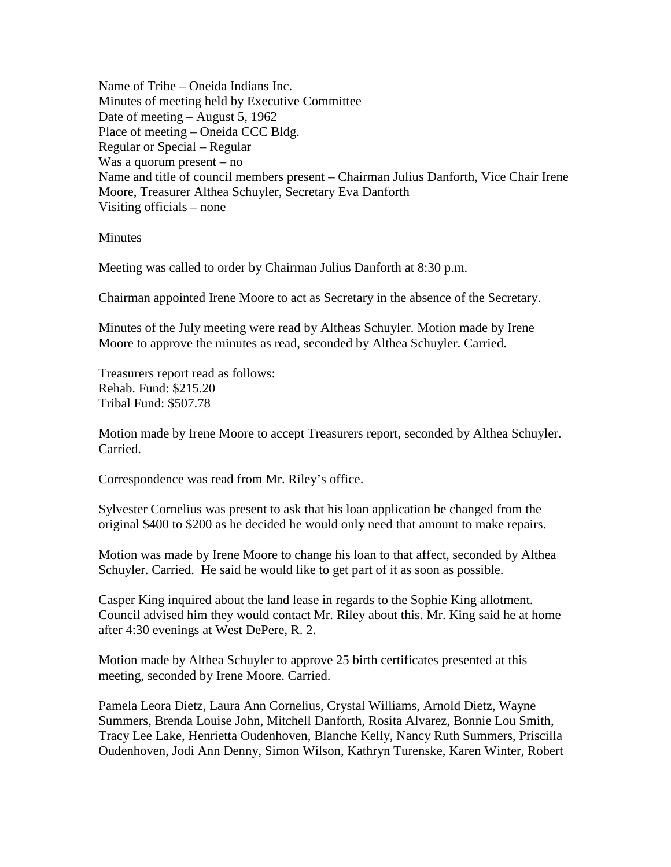Name of Tribe – Oneida Indians Inc. Minutes of meeting held by Executive Committee Date of meeting – August 5, 1962 Place of meeting – Oneida CCC Bldg. Regular or Special – Regular Was a quorum present – no Name and title of council members present – Chairman Julius Danforth, Vice Chair Irene Moore, Treasurer Althea Schuyler, Secretary Eva Danforth Visiting officials – none

**Minutes** 

Meeting was called to order by Chairman Julius Danforth at 8:30 p.m.

Chairman appointed Irene Moore to act as Secretary in the absence of the Secretary.

Minutes of the July meeting were read by Altheas Schuyler. Motion made by Irene Moore to approve the minutes as read, seconded by Althea Schuyler. Carried.

Treasurers report read as follows: Rehab. Fund: \$215.20 Tribal Fund: \$507.78

Motion made by Irene Moore to accept Treasurers report, seconded by Althea Schuyler. Carried.

Correspondence was read from Mr. Riley's office.

Sylvester Cornelius was present to ask that his loan application be changed from the original \$400 to \$200 as he decided he would only need that amount to make repairs.

Motion was made by Irene Moore to change his loan to that affect, seconded by Althea Schuyler. Carried. He said he would like to get part of it as soon as possible.

Casper King inquired about the land lease in regards to the Sophie King allotment. Council advised him they would contact Mr. Riley about this. Mr. King said he at home after 4:30 evenings at West DePere, R. 2.

Motion made by Althea Schuyler to approve 25 birth certificates presented at this meeting, seconded by Irene Moore. Carried.

Pamela Leora Dietz, Laura Ann Cornelius, Crystal Williams, Arnold Dietz, Wayne Summers, Brenda Louise John, Mitchell Danforth, Rosita Alvarez, Bonnie Lou Smith, Tracy Lee Lake, Henrietta Oudenhoven, Blanche Kelly, Nancy Ruth Summers, Priscilla Oudenhoven, Jodi Ann Denny, Simon Wilson, Kathryn Turenske, Karen Winter, Robert